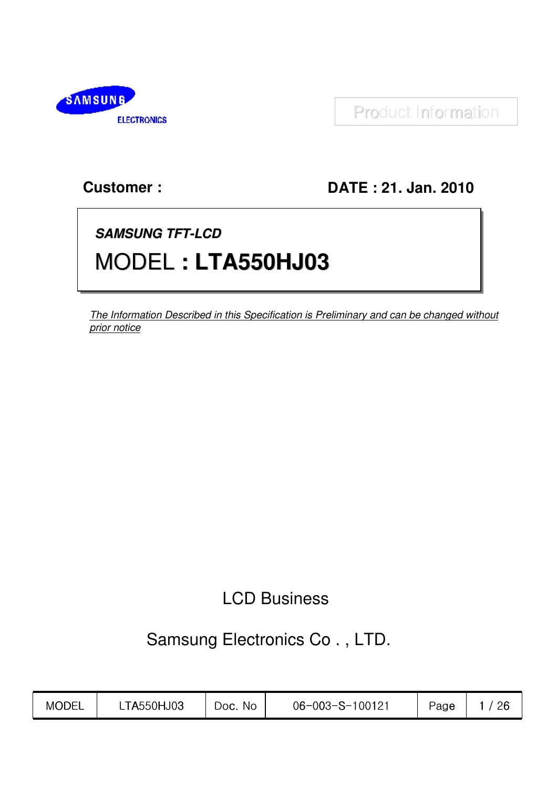

Product Information

## **Customer:**

## DATE: 21. Jan. 2010

# **SAMSUNG TFT-LCD** MODEL: LTA550HJ03

The Information Described in this Specification is Preliminary and can be changed without prior notice

## **LCD Business**

## Samsung Electronics Co., LTD.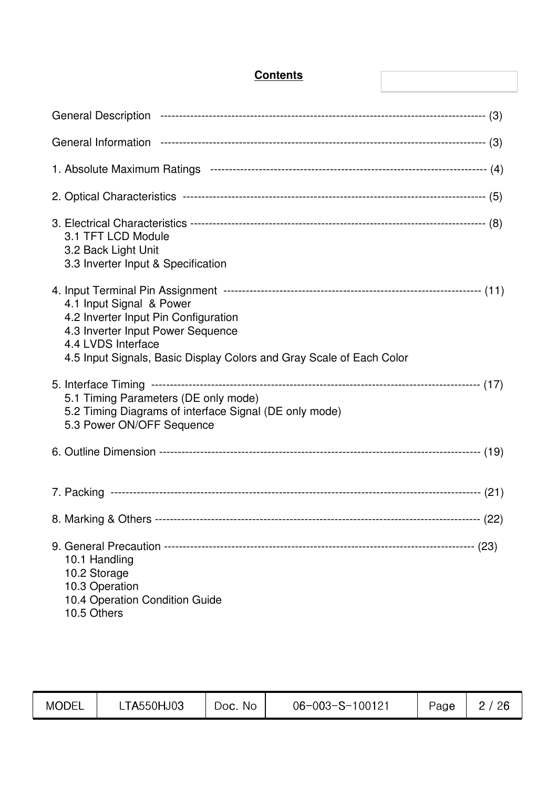| 3.1 TFT LCD Module<br>3.2 Back Light Unit<br>3.3 Inverter Input & Specification                                                                                                                     |  |
|-----------------------------------------------------------------------------------------------------------------------------------------------------------------------------------------------------|--|
| 4.1 Input Signal & Power<br>4.2 Inverter Input Pin Configuration<br>4.3 Inverter Input Power Sequence<br>4.4 LVDS Interface<br>4.5 Input Signals, Basic Display Colors and Gray Scale of Each Color |  |
| 5.1 Timing Parameters (DE only mode)<br>5.2 Timing Diagrams of interface Signal (DE only mode)<br>5.3 Power ON/OFF Sequence                                                                         |  |
|                                                                                                                                                                                                     |  |
|                                                                                                                                                                                                     |  |
|                                                                                                                                                                                                     |  |
| 10.1 Handling<br>10.2 Storage<br>10.3 Operation<br>10.4 Operation Condition Guide<br>10.5 Others                                                                                                    |  |

**Contents**

| <b>MODEL</b> | TA550HJ03 | No.<br>$0$ oc. $\Gamma$ | $06 - 003 - S - 100121$ | Page | 26 |
|--------------|-----------|-------------------------|-------------------------|------|----|
|              |           |                         |                         |      |    |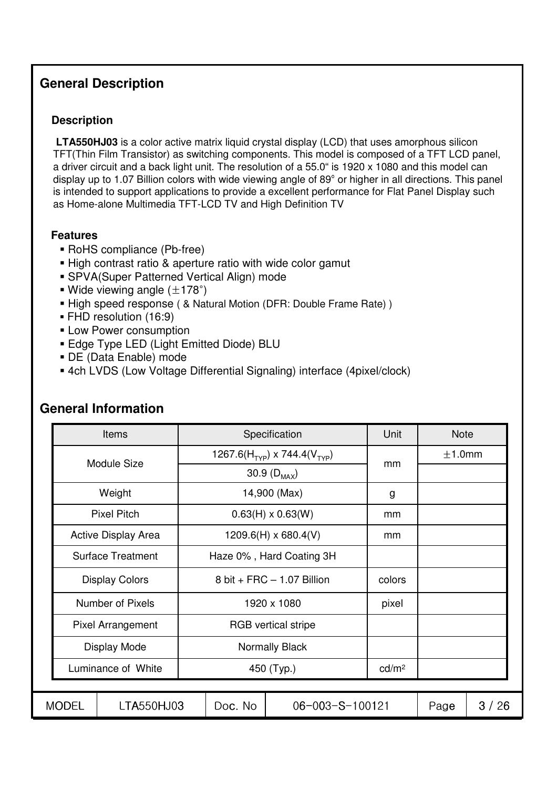## **General Description**

#### **Description**

**LTA550HJ03** is a color active matrix liquid crystal display (LCD) that uses amorphous silicon TFT(Thin Film Transistor) as switching components. This model is composed of a TFT LCD panel, a driver circuit and a back light unit. The resolution of a 55.0" is 1920 x 1080 and this model can display up to 1.07 Billion colors with wide viewing angle of 89° or higher in all directions. This panel is intended to support applications to provide a excellent performance for Flat Panel Display such as Home-alone Multimedia TFT-LCD TV and High Definition TV

#### **Features**

- ! RoHS compliance (Pb-free)
- . High contrast ratio & aperture ratio with wide color gamut
- **E** SPVA(Super Patterned Vertical Align) mode
- **.** Wide viewing angle  $(\pm 178^\circ)$
- **E** High speed response ( & Natural Motion (DFR: Double Frame Rate) )
- **FHD resolution (16:9)**
- **E.** Low Power consumption
- **Edge Type LED (Light Emitted Diode) BLU**
- ! DE (Data Enable) mode
- ! 4ch LVDS (Low Voltage Differential Signaling) interface (4pixel/clock)

|                            | <b>Items</b>             |            |         | Specification                                        | Unit   | <b>Note</b> |      |
|----------------------------|--------------------------|------------|---------|------------------------------------------------------|--------|-------------|------|
|                            | Module Size              |            |         | 1267.6(H <sub>TYP</sub> ) x 744.4(V <sub>TYP</sub> ) | mm     | ±1.0mm      |      |
|                            |                          |            |         | 30.9 $(D_{MAX})$                                     |        |             |      |
|                            | Weight                   |            |         | 14,900 (Max)                                         | g      |             |      |
|                            | <b>Pixel Pitch</b>       |            |         | $0.63(H) \times 0.63(W)$                             | mm     |             |      |
|                            | Active Display Area      |            |         | $1209.6(H) \times 680.4(V)$                          | mm     |             |      |
|                            | <b>Surface Treatment</b> |            |         | Haze 0%, Hard Coating 3H                             |        |             |      |
|                            | <b>Display Colors</b>    |            |         | 8 bit + FRC $-$ 1.07 Billion                         | colors |             |      |
|                            | Number of Pixels         |            |         | 1920 x 1080                                          | pixel  |             |      |
|                            | Pixel Arrangement        |            |         | RGB vertical stripe                                  |        |             |      |
|                            | Display Mode             |            |         | Normally Black                                       |        |             |      |
|                            | Luminance of White       | 450 (Typ.) |         | cd/m <sup>2</sup>                                    |        |             |      |
|                            |                          |            |         |                                                      |        |             |      |
| <b>MODEL</b><br>LTA550HJ03 |                          |            | Doc. No | $06 - 003 - S - 100121$                              |        | Page        | 3/26 |

### **General Information**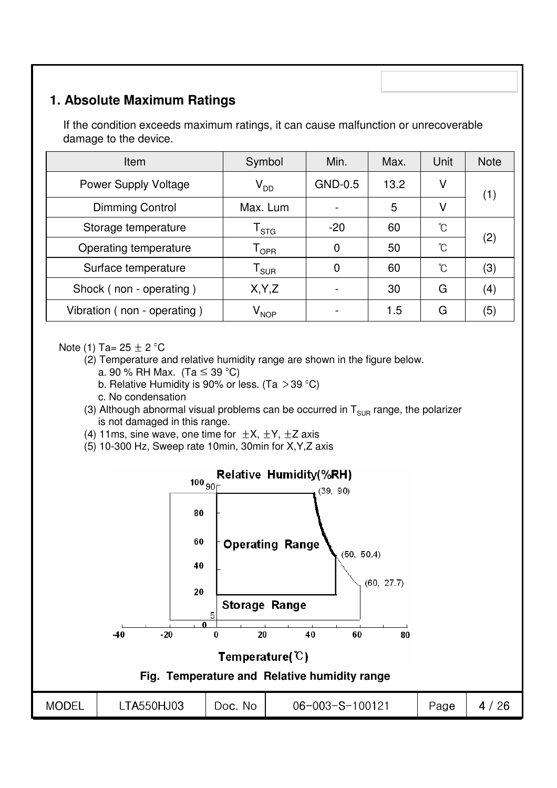## **1. Absolute Maximum Ratings**

If the condition exceeds maximum ratings, it can cause malfunction or unrecoverable damage to the device.

| Item                        | Symbol                 | Min.                     | Max. | Unit | <b>Note</b> |
|-----------------------------|------------------------|--------------------------|------|------|-------------|
| <b>Power Supply Voltage</b> | $V_{DD}$               | GND-0.5                  | 13.2 | ٧    | (1)         |
| <b>Dimming Control</b>      | Max. Lum               |                          | 5    | V    |             |
| Storage temperature         | <sup>l</sup> STG       | $-20$                    | 60   | °C   |             |
| Operating temperature       | l <sub>OPR</sub>       | 0                        | 50   | °C   | (2)         |
| Surface temperature         | ${\tt T}_\mathsf{SUB}$ | 0                        | 60   | ົໂ   | (3)         |
| Shock (non - operating)     | X, Y, Z                |                          | 30   | G    | (4)         |
| Vibration (non - operating) | $\rm V_{\rm NOP}$      | $\overline{\phantom{0}}$ | 1.5  | G    | (5)         |

Note (1) Ta=  $25 \pm 2$  °C

- (2) Temperature and relative humidity range are shown in the figure below. a. 90 % RH Max. (Ta  $\leq$  39 °C)
	- b. Relative Humidity is 90% or less. (Ta  $>$  39 °C)
	- c. No condensation
- (3) Although abnormal visual problems can be occurred in  $T_{\text{SUB}}$  range, the polarizer is not damaged in this range.
- (4) 11ms, sine wave, one time for  $\pm X$ ,  $\pm Y$ ,  $\pm Z$  axis
- (5) 10-300 Hz, Sweep rate 10min, 30min for X,Y,Z axis

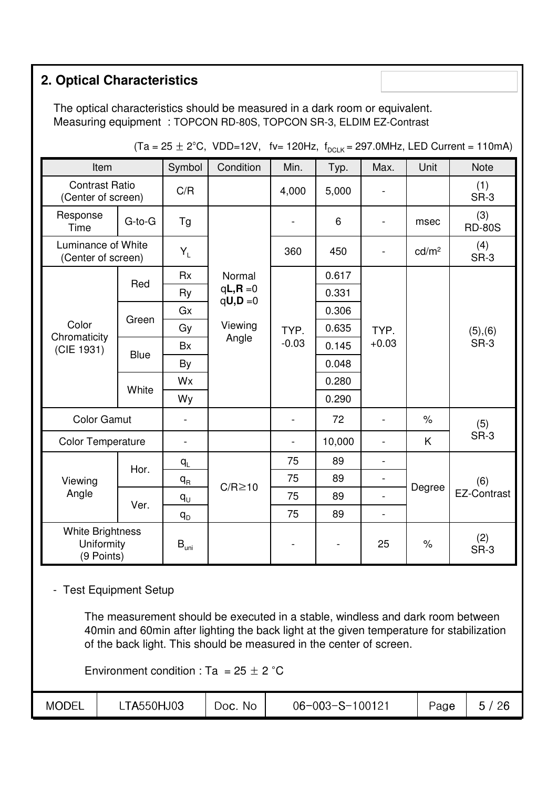## **2. Optical Characteristics**

The optical characteristics should be measured in a dark room or equivalent. Measuring equipment : TOPCON RD-80S, TOPCON SR-3, ELDIM EZ-Contrast

| Item                                                |             | Symbol                   | Condition               | Min.    | Typ.                     | Max.                     | Unit              | <b>Note</b>          |
|-----------------------------------------------------|-------------|--------------------------|-------------------------|---------|--------------------------|--------------------------|-------------------|----------------------|
| <b>Contrast Ratio</b><br>(Center of screen)         |             | C/R                      |                         | 4,000   | 5,000                    |                          |                   | (1)<br>SR-3          |
| Response<br>Time                                    | G-to-G      | Tg                       |                         |         | 6                        |                          | msec              | (3)<br><b>RD-80S</b> |
| Luminance of White<br>(Center of screen)            |             | $Y_L$                    |                         | 360     | 450                      | $\overline{\phantom{a}}$ | cd/m <sup>2</sup> | (4)<br>SR-3          |
|                                                     |             | <b>Rx</b>                | Normal                  |         | 0.617                    |                          |                   |                      |
| Color<br>Chromaticity<br>(CIE 1931)                 | Red         | Ry                       | $qL, R = 0$<br>$qU,D=0$ |         | 0.331                    |                          |                   | (5), (6)<br>SR-3     |
|                                                     |             | Gx                       |                         |         | 0.306                    |                          |                   |                      |
|                                                     | Green       | Gy                       | Viewing                 | TYP.    | 0.635                    | TYP.<br>$+0.03$          |                   |                      |
|                                                     | <b>Blue</b> | <b>Bx</b>                | Angle                   | $-0.03$ | 0.145                    |                          |                   |                      |
|                                                     |             | By                       |                         |         | 0.048                    |                          |                   |                      |
|                                                     | White       | Wx                       |                         |         | 0.280                    |                          |                   |                      |
|                                                     |             | Wy                       |                         |         | 0.290                    |                          |                   |                      |
| <b>Color Gamut</b>                                  |             | $\overline{\phantom{a}}$ |                         |         | 72                       |                          | $\%$              | (5)                  |
| <b>Color Temperature</b>                            |             | $\overline{\phantom{a}}$ |                         |         | 10,000                   | $\qquad \qquad -$        | K                 | SR-3                 |
|                                                     |             | $q_L$                    |                         | 75      | 89                       | $\overline{\phantom{a}}$ |                   |                      |
| Viewing                                             | Hor.        | $q_R$                    | $C/R \ge 10$            | 75      | 89                       |                          |                   | (6)                  |
| Angle                                               | Ver.        | $q_{U}$                  |                         | 75      | 89                       | $\blacksquare$           | Degree            | <b>EZ-Contrast</b>   |
|                                                     |             | $q_{D}$                  |                         | 75      | 89                       | $\blacksquare$           |                   |                      |
| <b>White Brightness</b><br>Uniformity<br>(9 Points) |             | $B_{\text{uni}}$         |                         |         | $\overline{\phantom{a}}$ | 25                       | $\%$              | (2)<br>SR-3          |

 $(Ta = 25 \pm 2^{\circ}C, VDD=12V,$  fv= 120Hz,  $f_{DCIK} = 297.0MHz$ , LED Current = 110mA)

#### - Test Equipment Setup

The measurement should be executed in a stable, windless and dark room between 40min and 60min after lighting the back light at the given temperature for stabilization of the back light. This should be measured in the center of screen.

Environment condition : Ta =  $25 \pm 2$  °C

| MODEL | <b>TA550HJ03</b> | No<br>DOC. | $06 - 003 - S - 100121$ | Page | റമ<br>LU |
|-------|------------------|------------|-------------------------|------|----------|
|-------|------------------|------------|-------------------------|------|----------|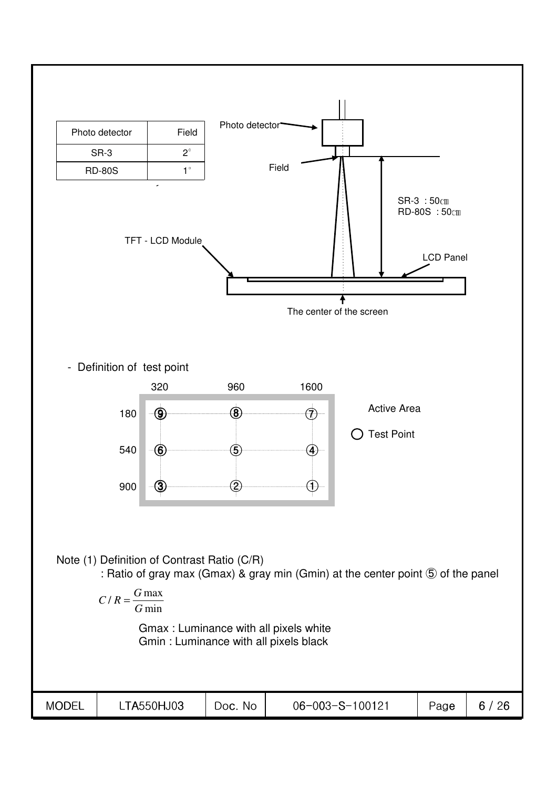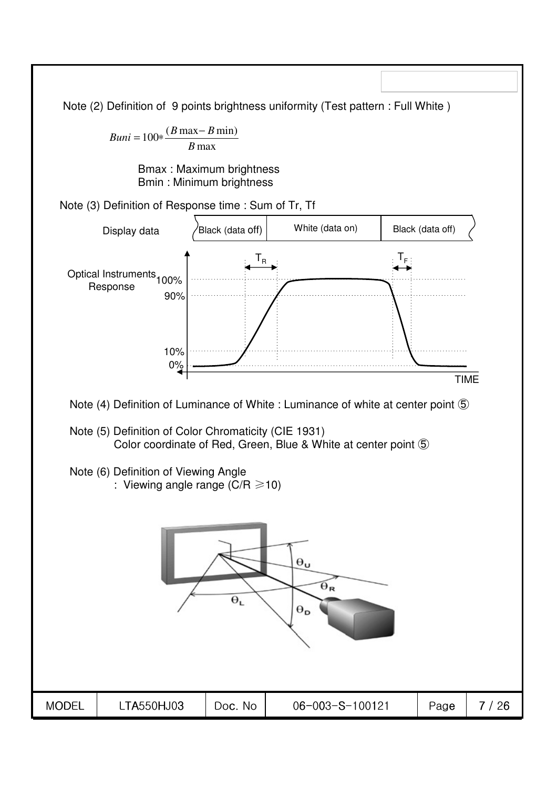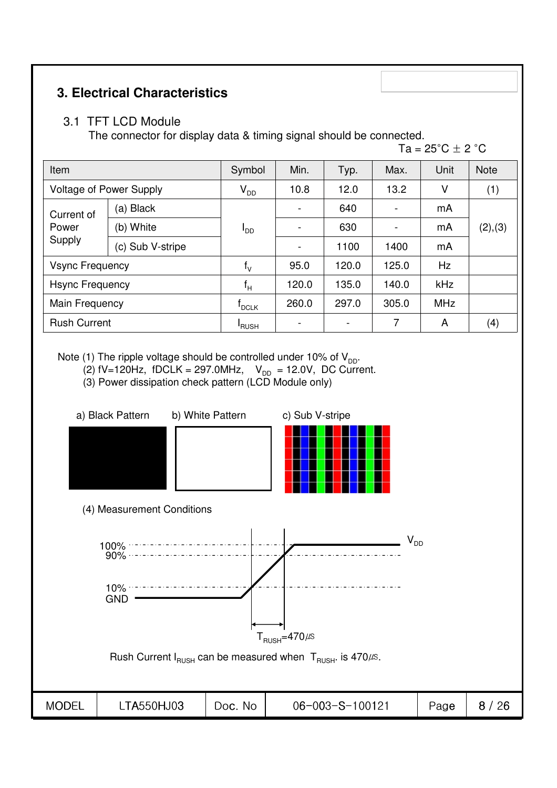## **3. Electrical Characteristics**

### 3.1 TFT LCD Module

The connector for display data & timing signal should be connected.

Ta =  $25^{\circ}$ C  $\pm$  2  $^{\circ}$ C

| Item                           |                  | Symbol          | Min.                     | Typ.  | Max.  | Unit       | <b>Note</b> |
|--------------------------------|------------------|-----------------|--------------------------|-------|-------|------------|-------------|
| <b>Voltage of Power Supply</b> |                  | $V_{DD}$        | 10.8                     | 12.0  | 13.2  | V          | (1)         |
| Current of                     | (a) Black        |                 | $\blacksquare$           | 640   |       | mA         |             |
| Power<br>Supply                | (b) White        | <sup>I</sup> DD | $\overline{a}$           | 630   |       | mA         | (2), (3)    |
|                                | (c) Sub V-stripe |                 | $\overline{\phantom{a}}$ | 1100  | 1400  | mA         |             |
| <b>Vsync Frequency</b>         |                  | $f_V$           | 95.0                     | 120.0 | 125.0 | Hz         |             |
| <b>Hsync Frequency</b>         |                  | $f_H$           | 120.0                    | 135.0 | 140.0 | kHz        |             |
| Main Frequency                 |                  | $I_{DCLK}$      | 260.0                    | 297.0 | 305.0 | <b>MHz</b> |             |
| <b>Rush Current</b>            |                  | <b>RUSH</b>     | $\overline{\phantom{0}}$ |       | 7     | A          | (4)         |

Note (1) The ripple voltage should be controlled under 10% of  $V_{\text{DD}}$ .

- (2)  $\text{fV} = 120 \text{Hz}$ ,  $\text{fDCLK} = 297.0 \text{MHz}$ ,  $V_{\text{DD}} = 12.0 \text{V}$ , DC Current.
- (3) Power dissipation check pattern (LCD Module only)

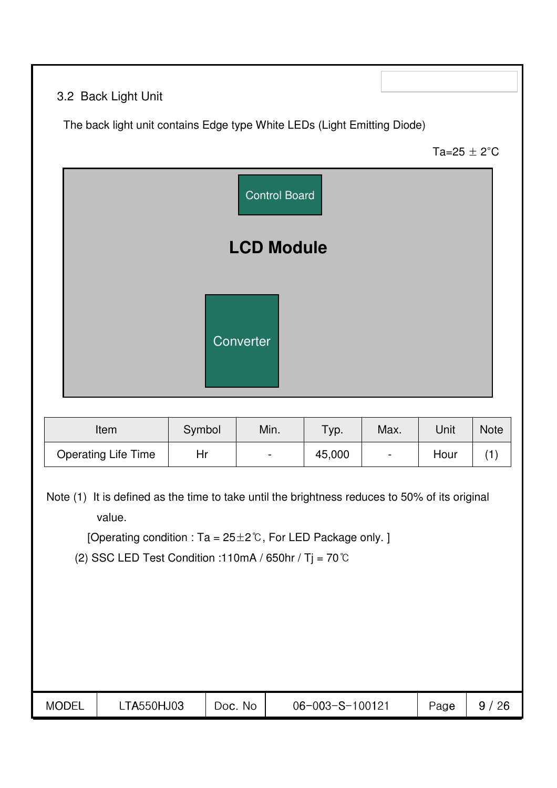## 3.2 Back Light Unit

The back light unit contains Edge type White LEDs (Light Emitting Diode)

Ta=25  $\pm$  2°C



| Item                       | Symbol | Min.                     | Tур.   | Max.   | Unit | <b>Note</b> |
|----------------------------|--------|--------------------------|--------|--------|------|-------------|
| <b>Operating Life Time</b> | Hr.    | $\overline{\phantom{0}}$ | 45,000 | $\sim$ | Hour |             |

Note (1) It is defined as the time to take until the brightness reduces to 50% of its original value.

[Operating condition : Ta = 25±2℃, For LED Package only. ]

(2) SSC LED Test Condition :110mA / 650hr / Tj = 70  $^{\circ}$ C

| <b>MODEL</b> | <b>TA550HJ03</b> | No<br>DOC. | 06-003-S-100121 | Page | 26 |
|--------------|------------------|------------|-----------------|------|----|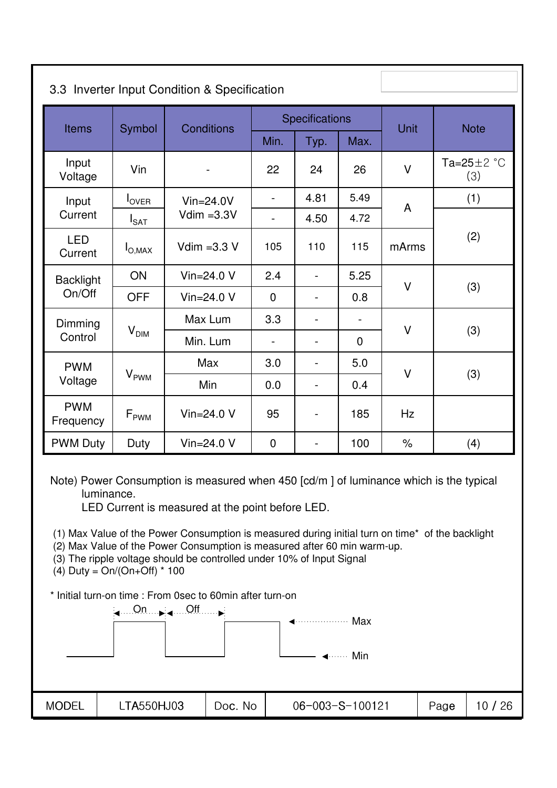| 3.3 Inverter Input Condition & Specification |                   |                   |                |                          |                |        |                          |  |
|----------------------------------------------|-------------------|-------------------|----------------|--------------------------|----------------|--------|--------------------------|--|
| <b>Items</b>                                 | Symbol            | <b>Conditions</b> |                | Specifications           |                | Unit   | <b>Note</b>              |  |
|                                              |                   |                   | Min.           | Typ.                     | Max.           |        |                          |  |
| Input<br>Voltage                             | Vin               |                   | 22             | 24                       | 26             | $\vee$ | Ta= $25 \pm 2$ °C<br>(3) |  |
| Input                                        | $I_{\text{OVER}}$ | $Vin=24.0V$       | $\blacksquare$ | 4.81                     | 5.49           | A      | (1)                      |  |
| Current                                      | $I_{\text{SAT}}$  | Vdim $=3.3V$      |                | 4.50                     | 4.72           |        |                          |  |
| <b>LED</b><br>Current                        | $I_{O,MAX}$       | Vdim $=3.3$ V     | 105            | 110                      | 115            | mArms  | (2)                      |  |
| <b>Backlight</b>                             | ON                | Vin= $24.0 V$     | 2.4            | L.                       | 5.25           | $\vee$ |                          |  |
| On/Off                                       | <b>OFF</b>        | Vin= $24.0V$      | $\mathbf 0$    | $\overline{\phantom{0}}$ | 0.8            |        | (3)                      |  |
| Dimming                                      |                   | Max Lum           | 3.3            | $\overline{\phantom{0}}$ |                |        |                          |  |
| Control                                      | $\rm V_{\rm DIM}$ | Min. Lum          | $\blacksquare$ | $\overline{\phantom{0}}$ | $\overline{0}$ | $\vee$ | (3)                      |  |
| <b>PWM</b>                                   |                   | Max               | 3.0            | $\overline{a}$           | 5.0            |        |                          |  |
| Voltage                                      | $V_{\rm PWM}$     | Min               | 0.0            | $\overline{a}$           | 0.4            | $\vee$ | (3)                      |  |
| <b>PWM</b><br>Frequency                      | $F_{\rm PWM}$     | Vin= $24.0 V$     | 95             | $\overline{\phantom{0}}$ | 185            | Hz     |                          |  |
| <b>PWM Duty</b>                              | Duty              | Vin= $24.0 V$     | $\mathbf 0$    | $\overline{\phantom{0}}$ | 100            | $\%$   | (4)                      |  |

Note) Power Consumption is measured when 450 [cd/m ] of luminance which is the typical luminance.

LED Current is measured at the point before LED.

(1) Max Value of the Power Consumption is measured during initial turn on time\* of the backlight

(2) Max Value of the Power Consumption is measured after 60 min warm-up.

(3) The ripple voltage should be controlled under 10% of Input Signal

(4) Duty =  $On/(On+Off) * 100$ 

\* Initial turn-on time : From 0sec to 60min after turn-on

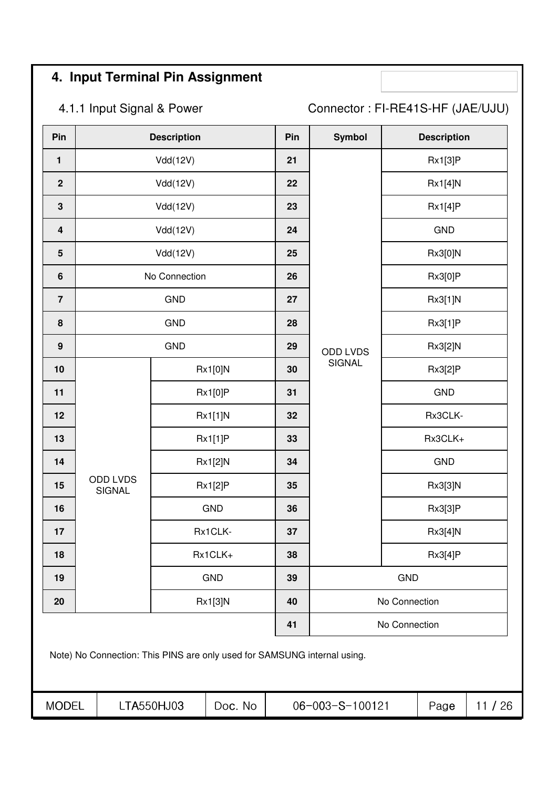## **4. Input Terminal Pin Assignment**

4.1.1 Input Signal & Power Connector : FI-RE41S-HF (JAE/UJU)

| Pin                     |                                                                          | <b>Description</b> |                | Pin | Symbol          |               | <b>Description</b> |       |
|-------------------------|--------------------------------------------------------------------------|--------------------|----------------|-----|-----------------|---------------|--------------------|-------|
| $\mathbf{1}$            |                                                                          | Vdd(12V)           |                | 21  |                 |               | Rx1[3]P            |       |
| $\overline{2}$          |                                                                          | Vdd(12V)           |                | 22  |                 |               | Rx1[4]N            |       |
| $\mathbf{3}$            |                                                                          | Vdd(12V)           |                | 23  |                 |               | Rx1[4]P            |       |
| $\overline{\mathbf{4}}$ |                                                                          | Vdd(12V)           |                | 24  |                 |               | <b>GND</b>         |       |
| $5\phantom{1}$          |                                                                          | Vdd(12V)           |                | 25  |                 |               | Rx3[0]N            |       |
| $\boldsymbol{6}$        |                                                                          | No Connection      |                | 26  |                 |               | Rx3[0]P            |       |
| $\overline{7}$          |                                                                          | <b>GND</b>         |                | 27  |                 |               | Rx3[1]N            |       |
| 8                       |                                                                          | <b>GND</b>         |                | 28  |                 |               | Rx3[1]P            |       |
| $\boldsymbol{9}$        |                                                                          | <b>GND</b>         |                | 29  | ODD LVDS        |               | Rx3[2]N            |       |
| 10                      |                                                                          |                    | Rx1[0]N        | 30  | <b>SIGNAL</b>   |               | Rx3[2]P            |       |
| 11                      |                                                                          |                    | Rx1[0]P        | 31  |                 |               | GND                |       |
| 12                      |                                                                          |                    | Rx1[1]N        | 32  |                 | Rx3CLK-       |                    |       |
| 13                      |                                                                          |                    | <b>Rx1[1]P</b> | 33  |                 | Rx3CLK+       |                    |       |
| 14                      |                                                                          |                    | Rx1[2]N        | 34  |                 |               | <b>GND</b>         |       |
| 15                      | <b>ODD LVDS</b><br><b>SIGNAL</b>                                         |                    | <b>Rx1[2]P</b> | 35  |                 |               | Rx3[3]N            |       |
| 16                      |                                                                          |                    | GND            | 36  |                 |               | Rx3[3]P            |       |
| 17                      |                                                                          |                    | Rx1CLK-        | 37  |                 |               | Rx3[4]N            |       |
| 18                      |                                                                          |                    | Rx1CLK+        | 38  |                 |               | Rx3[4]P            |       |
| 19                      |                                                                          |                    | <b>GND</b>     | 39  |                 | <b>GND</b>    |                    |       |
| 20                      |                                                                          |                    | Rx1[3]N        | 40  |                 | No Connection |                    |       |
|                         |                                                                          |                    |                | 41  |                 | No Connection |                    |       |
|                         | Note) No Connection: This PINS are only used for SAMSUNG internal using. |                    |                |     |                 |               |                    |       |
| <b>MODEL</b>            |                                                                          | LTA550HJ03         | Doc. No        |     | 06-003-S-100121 |               | Page               | 11/26 |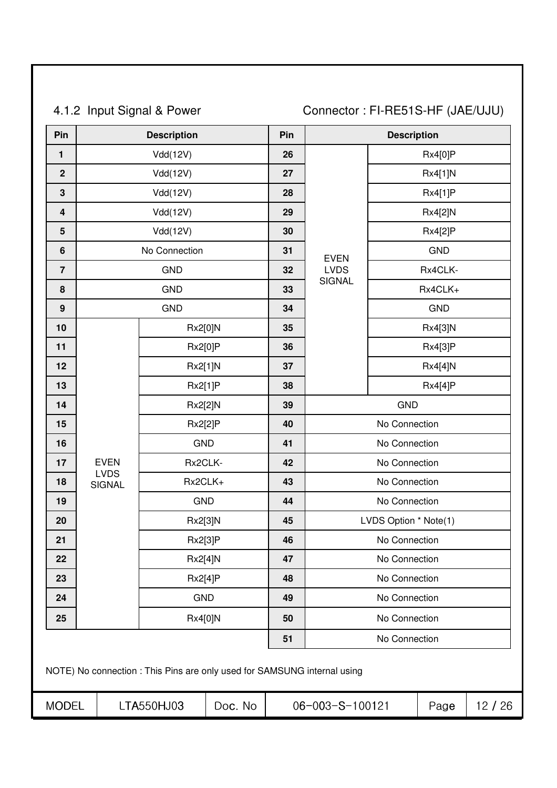4.1.2 Input Signal & Power Connector : FI-RE51S-HF (JAE/UJU)

| Pin                     |                            | <b>Description</b>                                                       |         | Pin |                              | <b>Description</b>    |                |       |  |
|-------------------------|----------------------------|--------------------------------------------------------------------------|---------|-----|------------------------------|-----------------------|----------------|-------|--|
| 1                       |                            | Vdd(12V)                                                                 |         | 26  |                              |                       | <b>Rx4[0]P</b> |       |  |
| $\mathbf 2$             |                            | Vdd(12V)                                                                 |         | 27  |                              |                       | Rx4[1]N        |       |  |
| $\mathbf{3}$            |                            | Vdd(12V)                                                                 |         | 28  |                              | <b>Rx4[1]P</b>        |                |       |  |
| $\overline{\mathbf{4}}$ |                            | Vdd(12V)                                                                 |         | 29  |                              |                       | Rx4[2]N        |       |  |
| $5\phantom{1}$          |                            | Vdd(12V)                                                                 |         | 30  |                              |                       | <b>Rx4[2]P</b> |       |  |
| $\boldsymbol{6}$        |                            | No Connection                                                            |         | 31  | <b>EVEN</b>                  |                       | <b>GND</b>     |       |  |
| $\overline{7}$          |                            | <b>GND</b>                                                               |         | 32  | <b>LVDS</b><br><b>SIGNAL</b> |                       | Rx4CLK-        |       |  |
| 8                       |                            | <b>GND</b>                                                               |         | 33  |                              |                       | Rx4CLK+        |       |  |
| $\boldsymbol{9}$        |                            | <b>GND</b>                                                               |         | 34  | <b>GND</b>                   |                       |                |       |  |
| 10                      |                            | Rx2[0]N                                                                  |         | 35  |                              |                       | Rx4[3]N        |       |  |
| 11                      |                            | Rx2[0]P                                                                  |         | 36  |                              |                       | Rx4[3]P        |       |  |
| 12                      |                            | Rx2[1]N                                                                  |         | 37  |                              |                       | Rx4[4]N        |       |  |
| 13                      |                            | Rx2[1]P                                                                  |         | 38  |                              |                       | <b>Rx4[4]P</b> |       |  |
| 14                      |                            | Rx2[2]N                                                                  |         | 39  |                              | <b>GND</b>            |                |       |  |
| 15                      |                            | <b>Rx2[2]P</b>                                                           |         | 40  |                              | No Connection         |                |       |  |
| 16                      |                            | <b>GND</b>                                                               |         | 41  |                              | No Connection         |                |       |  |
| 17                      | <b>EVEN</b><br><b>LVDS</b> | Rx2CLK-                                                                  |         | 42  |                              | No Connection         |                |       |  |
| 18                      | <b>SIGNAL</b>              | Rx2CLK+                                                                  |         | 43  |                              | No Connection         |                |       |  |
| 19                      |                            | <b>GND</b>                                                               |         | 44  |                              | No Connection         |                |       |  |
| 20                      |                            | Rx2[3]N                                                                  |         | 45  |                              | LVDS Option * Note(1) |                |       |  |
| 21                      |                            | Rx2[3]P                                                                  |         | 46  |                              | No Connection         |                |       |  |
| 22                      |                            | Rx2[4]N                                                                  |         | 47  |                              | No Connection         |                |       |  |
| 23                      |                            | Rx2[4]P                                                                  |         | 48  |                              | No Connection         |                |       |  |
| 24                      |                            | <b>GND</b>                                                               |         | 49  |                              | No Connection         |                |       |  |
| 25                      |                            | Rx4[0]N                                                                  |         | 50  |                              | No Connection         |                |       |  |
|                         |                            |                                                                          |         | 51  |                              | No Connection         |                |       |  |
|                         |                            | NOTE) No connection : This Pins are only used for SAMSUNG internal using |         |     |                              |                       |                |       |  |
| <b>MODEL</b>            |                            | LTA550HJ03                                                               | Doc. No |     | 06-003-S-100121              |                       | Page           | 12/26 |  |
|                         |                            |                                                                          |         |     |                              |                       |                |       |  |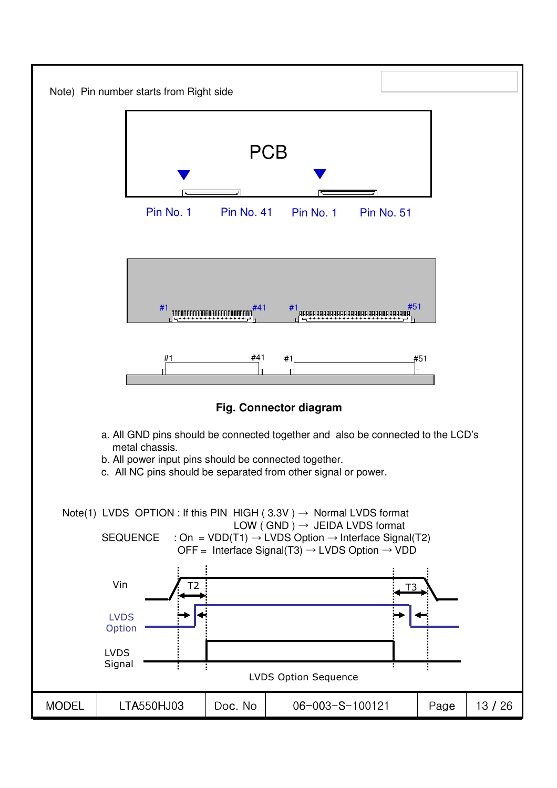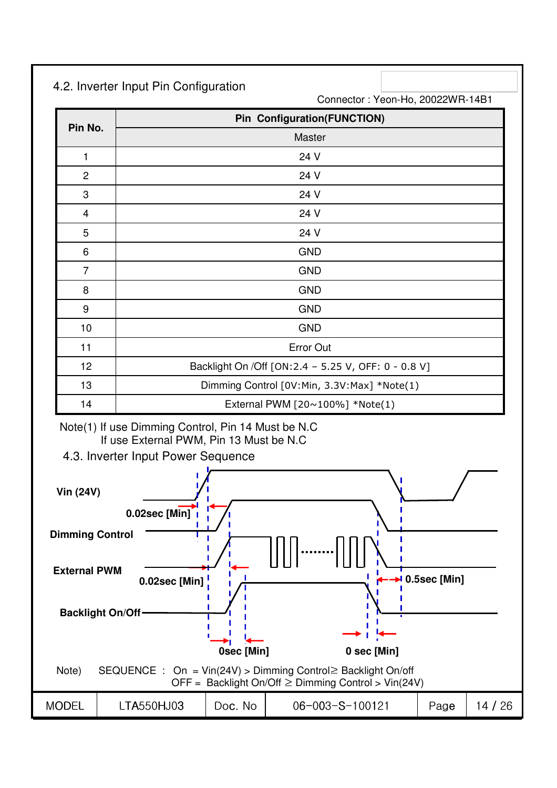### 4.2. Inverter Input Pin Configuration

Connector : Yeon-Ho, 20022WR-14B1

|                | <b>Pin Configuration(FUNCTION)</b>                    |
|----------------|-------------------------------------------------------|
| Pin No.        | Master                                                |
| 1              | 24 V                                                  |
| $\overline{2}$ | 24 V                                                  |
| 3              | 24 V                                                  |
| 4              | 24 V                                                  |
| $\sqrt{5}$     | 24 V                                                  |
| 6              | <b>GND</b>                                            |
| $\overline{7}$ | <b>GND</b>                                            |
| 8              | <b>GND</b>                                            |
| 9              | <b>GND</b>                                            |
| 10             | <b>GND</b>                                            |
| 11             | Error Out                                             |
| 12             | Backlight On / Off [ON: 2.4 - 5.25 V, OFF: 0 - 0.8 V] |
| 13             | Dimming Control [0V:Min, 3.3V:Max] *Note(1)           |
| 14             | External PWM [20~100%] *Note(1)                       |

#### Note(1) If use Dimming Control, Pin 14 Must be N.C If use External PWM, Pin 13 Must be N.C

4.3. Inverter Input Power Sequence

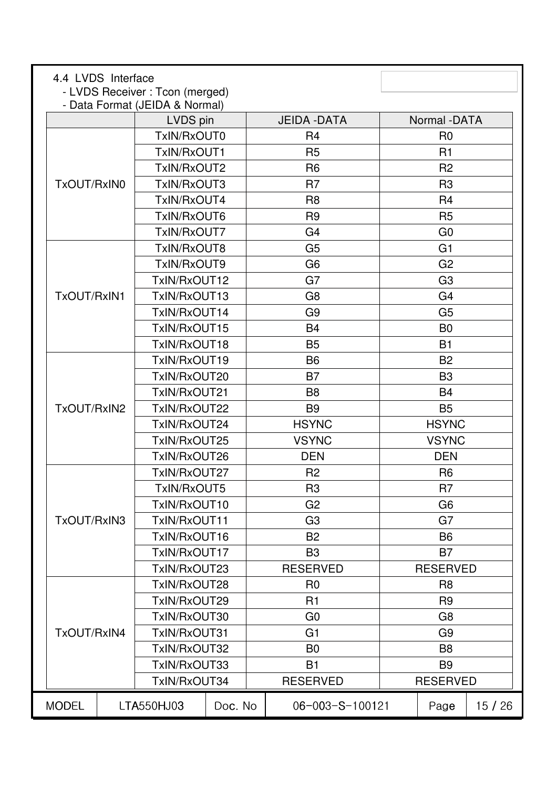| 4.4 LVDS Interface | - LVDS Receiver: Tcon (merged) |         |                     |                 |       |
|--------------------|--------------------------------|---------|---------------------|-----------------|-------|
|                    | - Data Format (JEIDA & Normal) |         |                     |                 |       |
|                    | LVDS pin                       |         | <b>JEIDA - DATA</b> | Normal -DATA    |       |
|                    | TxIN/RxOUT0                    |         | R <sub>4</sub>      | R <sub>0</sub>  |       |
|                    | TxIN/RxOUT1                    |         | R <sub>5</sub>      | R1              |       |
|                    | TxIN/RxOUT2                    |         | R <sub>6</sub>      | R <sub>2</sub>  |       |
| TxOUT/RxIN0        | TxIN/RxOUT3                    |         | R <sub>7</sub>      | R <sub>3</sub>  |       |
|                    | TxIN/RxOUT4                    |         | R <sub>8</sub>      | R <sub>4</sub>  |       |
|                    | TxIN/RxOUT6                    |         | R <sub>9</sub>      | R <sub>5</sub>  |       |
|                    | TxIN/RxOUT7                    |         | G <sub>4</sub>      | G <sub>0</sub>  |       |
|                    | TxIN/RxOUT8                    |         | G <sub>5</sub>      | G <sub>1</sub>  |       |
|                    | TxIN/RxOUT9                    |         | G <sub>6</sub>      | G <sub>2</sub>  |       |
|                    | TxIN/RxOUT12                   |         | G7                  | G <sub>3</sub>  |       |
| TxOUT/RxIN1        | TxIN/RxOUT13                   |         | G <sub>8</sub>      | G <sub>4</sub>  |       |
|                    | TxIN/RxOUT14                   |         | G <sub>9</sub>      | G <sub>5</sub>  |       |
|                    | TxIN/RxOUT15                   |         | <b>B4</b>           | B <sub>0</sub>  |       |
|                    | TxIN/RxOUT18                   |         | <b>B5</b>           | <b>B1</b>       |       |
|                    | TxIN/RxOUT19                   |         | <b>B6</b>           | <b>B2</b>       |       |
|                    | TxIN/RxOUT20                   |         | <b>B7</b>           | B <sub>3</sub>  |       |
|                    | TxIN/RxOUT21                   |         | B <sub>8</sub>      | <b>B4</b>       |       |
| TxOUT/RxIN2        | TxIN/RxOUT22                   |         | B <sub>9</sub>      | <b>B5</b>       |       |
|                    | TxIN/RxOUT24                   |         | <b>HSYNC</b>        | <b>HSYNC</b>    |       |
|                    | TxIN/RxOUT25                   |         | <b>VSYNC</b>        | <b>VSYNC</b>    |       |
|                    | TxIN/RxOUT26                   |         | <b>DEN</b>          | <b>DEN</b>      |       |
|                    | TxIN/RxOUT27                   |         | R <sub>2</sub>      | R <sub>6</sub>  |       |
|                    | TxIN/RxOUT5                    |         | R <sub>3</sub>      | R7              |       |
|                    | TxIN/RxOUT10                   |         | G <sub>2</sub>      | G <sub>6</sub>  |       |
| TxOUT/RxIN3        | TxIN/RxOUT11                   |         | G <sub>3</sub>      | G7              |       |
|                    | TxIN/RxOUT16                   |         | <b>B2</b>           | <b>B6</b>       |       |
|                    | TxIN/RxOUT17                   |         | B <sub>3</sub>      | <b>B7</b>       |       |
|                    | TxIN/RxOUT23                   |         | <b>RESERVED</b>     | <b>RESERVED</b> |       |
|                    | TxIN/RxOUT28                   |         | R <sub>0</sub>      | R <sub>8</sub>  |       |
|                    | TxIN/RxOUT29                   |         | R <sub>1</sub>      | R <sub>9</sub>  |       |
|                    | TxIN/RxOUT30                   |         | G <sub>0</sub>      | G <sub>8</sub>  |       |
| TxOUT/RxIN4        | TxIN/RxOUT31                   |         | G <sub>1</sub>      | G <sub>9</sub>  |       |
|                    | TxIN/RxOUT32                   |         | B <sub>0</sub>      | B <sub>8</sub>  |       |
|                    | TxIN/RxOUT33                   |         | <b>B1</b>           | B <sub>9</sub>  |       |
|                    | TxIN/RxOUT34                   |         | <b>RESERVED</b>     | <b>RESERVED</b> |       |
| <b>MODEL</b>       | LTA550HJ03                     | Doc. No | 06-003-S-100121     | Page            | 15/26 |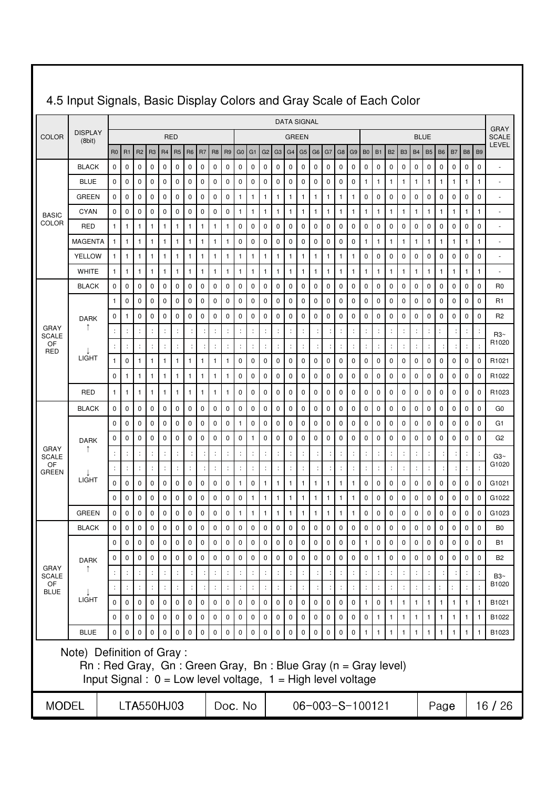|                             |                                                                                                                                                                  |                             |                                   |                                     |                                     |                           |                |                |              |                               |                               |                      |                                   |                             |                               | <b>DATA SIGNAL</b>                |                             |                |                |                                     |                                     |                                     |                                      |                                      |                                   |                               |                      |                   |                |                                     |                                   | <b>GRAY</b>              |
|-----------------------------|------------------------------------------------------------------------------------------------------------------------------------------------------------------|-----------------------------|-----------------------------------|-------------------------------------|-------------------------------------|---------------------------|----------------|----------------|--------------|-------------------------------|-------------------------------|----------------------|-----------------------------------|-----------------------------|-------------------------------|-----------------------------------|-----------------------------|----------------|----------------|-------------------------------------|-------------------------------------|-------------------------------------|--------------------------------------|--------------------------------------|-----------------------------------|-------------------------------|----------------------|-------------------|----------------|-------------------------------------|-----------------------------------|--------------------------|
| <b>COLOR</b>                | <b>DISPLAY</b><br>(8bit)                                                                                                                                         |                             |                                   |                                     |                                     |                           | <b>RED</b>     |                |              |                               |                               |                      |                                   |                             |                               | <b>GREEN</b>                      |                             |                |                |                                     |                                     |                                     |                                      |                                      |                                   |                               | <b>BLUE</b>          |                   |                |                                     |                                   | <b>SCALE</b><br>LEVEL    |
|                             |                                                                                                                                                                  | R <sub>0</sub>              | <b>R1</b>                         | R <sub>2</sub>                      | R <sub>3</sub>                      | R <sub>4</sub>            | R <sub>5</sub> | R <sub>6</sub> | <b>R7</b>    | R <sub>8</sub>                | <b>R9</b>                     | G <sub>0</sub>       | G <sub>1</sub>                    | G <sub>2</sub>              | G <sub>3</sub>                | G4                                | G <sub>5</sub>              | G <sub>6</sub> | G7             | G <sub>8</sub>                      | G <sub>9</sub>                      | B <sub>0</sub>                      | <b>B1</b>                            | <b>B2</b>                            | <b>B3</b>                         | <b>B4</b>                     | <b>B5</b>            | <b>B6</b>         | <b>B7</b>      | B <sub>8</sub>                      | B <sub>9</sub>                    |                          |
|                             | <b>BLACK</b>                                                                                                                                                     | $\mathbf 0$                 | $\mathbf 0$                       | 0                                   | 0                                   | 0                         | $\mathbf 0$    | 0              | 0            | $\mathbf 0$                   | $\mathbf 0$                   | 0                    | 0                                 | 0                           | 0                             | $\mathbf 0$                       | $\pmb{0}$                   | 0              | $\mathbf 0$    | $\mathbf 0$                         | 0                                   | 0                                   | 0                                    | $\mathbf 0$                          | 0                                 | 0                             | $\mathbf 0$          | $\pmb{0}$         | 0              | $\mathbf 0$                         | $\mathbf 0$                       | $\overline{\phantom{a}}$ |
|                             | <b>BLUE</b>                                                                                                                                                      | 0                           | $\mathbf 0$                       | 0                                   | 0                                   | 0                         | 0              | 0              | 0            | 0                             | 0                             | 0                    | 0                                 | 0                           | $\mathbf 0$                   | $\mathbf 0$                       | 0                           | 0              | 0              | 0                                   | 0                                   | 1                                   | 1                                    | $\mathbf{1}$                         | 1                                 | 1                             | 1                    | 1                 | 1              | $\mathbf{1}$                        | $\mathbf{1}$                      | $\ddot{\phantom{1}}$     |
|                             | <b>GREEN</b>                                                                                                                                                     | 0                           | $\mathbf 0$                       | 0                                   | 0                                   | 0                         | 0              | 0              | 0            | 0                             | 0                             | 1                    | 1                                 | 1                           | 1                             | $\mathbf{1}$                      | $\mathbf{1}$                | 1              | 1              | 1                                   | 1                                   | 0                                   | 0                                    | $\mathbf 0$                          | 0                                 | 0                             | 0                    | 0                 | 0              | $\mathbf 0$                         | $\mathbf 0$                       | ٠                        |
| <b>BASIC</b><br>COLOR       | <b>CYAN</b>                                                                                                                                                      | 0                           | $\mathbf 0$                       | 0                                   | 0                                   | 0                         | 0              | 0              | 0            | $\mathbf 0$                   | $\mathbf 0$                   | 1                    | 1                                 | 1                           | 1                             | $\mathbf{1}$                      | $\mathbf{1}$                | 1              | 1              | $\mathbf{1}$                        | 1                                   | 1                                   | $\mathbf{1}$                         | $\mathbf{1}$                         | 1                                 | 1                             | $\mathbf{1}$         | $\mathbf{1}$      | 1              | $\mathbf{1}$                        | $\overline{1}$                    | $\sim$                   |
|                             | <b>RED</b>                                                                                                                                                       | $\mathbf{1}$                | $\mathbf{1}$                      | 1                                   | 1                                   | 1                         | 1              | 1              | 1            | 1                             | $\mathbf{1}$                  | 0                    | 0                                 | 0                           | $\mathbf 0$                   | $\mathbf 0$                       | 0                           | 0              | 0              | 0                                   | 0                                   | 0                                   | 0                                    | 0                                    | 0                                 | 0                             | 0                    | 0                 | 0              | $\mathbf 0$                         | $\mathbf 0$                       | $\ddot{\phantom{1}}$     |
|                             | <b>MAGENTA</b>                                                                                                                                                   | $\mathbf{1}$                | $\mathbf{1}$                      | 1                                   | $\mathbf{1}$                        | $\mathbf{1}$              | 1              | 1              | $\mathbf{1}$ | 1                             | 1                             | $\mathbf 0$          | $\mathbf 0$                       | $\mathbf 0$                 | 0                             | $\mathbf 0$                       | 0                           | 0              | 0              | $\mathbf 0$                         | $\mathbf 0$                         | 1                                   | 1                                    | $\mathbf{1}$                         | 1                                 | 1                             | 1                    | 1                 | 1              | $\mathbf{1}$                        | $\mathbf{1}$                      | ÷,                       |
|                             | <b>YELLOW</b>                                                                                                                                                    | $\mathbf{1}$                | $\mathbf{1}$                      | $\mathbf{1}$                        | $\mathbf{1}$                        | $\mathbf{1}$              | 1              | $\mathbf{1}$   | 1            | 1                             | $\mathbf{1}$                  | $\mathbf{1}$         | $\mathbf{1}$                      | 1                           | $\mathbf{1}$                  | $\mathbf{1}$                      | $\mathbf{1}$                | 1              | 1              | 1                                   | 1                                   | 0                                   | 0                                    | $\mathbf 0$                          | 0                                 | 0                             | $\mathbf 0$          | 0                 | 0              | $\mathbf 0$                         | $\mathbf 0$                       | ٠                        |
|                             | <b>WHITE</b><br><b>BLACK</b>                                                                                                                                     | $\mathbf{1}$<br>$\mathbf 0$ | $\mathbf{1}$<br>0                 | $\mathbf{1}$<br>0                   | 1<br>0                              | 1<br>$\mathbf 0$          | 1<br>0         | 1<br>0         | 1<br>0       | $\mathbf{1}$<br>0             | $\mathbf{1}$<br>$\mathbf 0$   | 1<br>$\mathbf 0$     | 1<br>0                            | 1<br>$\mathbf 0$            | 1<br>$\mathbf 0$              | $\mathbf{1}$<br>$\mathbf 0$       | 1<br>0                      | 1<br>0         | 1<br>0         | 1<br>$\mathbf 0$                    | 1<br>$\mathbf 0$                    | 1<br>0                              | 1<br>0                               | $\mathbf{1}$<br>$\mathbf 0$          | 1<br>$\mathbf 0$                  | 1<br>$\mathbf 0$              | 1<br>$\mathbf 0$     | $\mathbf{1}$<br>0 | 1<br>0         | $\mathbf{1}$<br>$\mathbf 0$         | $\mathbf{1}$<br>$\mathbf 0$       | ÷,<br>R <sub>0</sub>     |
|                             |                                                                                                                                                                  | $\mathbf{1}$                | $\mathbf 0$                       | 0                                   | 0                                   | 0                         | 0              | 0              | 0            | 0                             | $\mathbf 0$                   | 0                    | 0                                 | 0                           | $\pmb{0}$                     | $\pmb{0}$                         | $\pmb{0}$                   | 0              | 0              | $\mathbf 0$                         | 0                                   | 0                                   | 0                                    | $\pmb{0}$                            | 0                                 | 0                             | 0                    | 0                 | 0              | $\mathbf 0$                         | $\pmb{0}$                         | R1                       |
|                             |                                                                                                                                                                  | 0                           | $\mathbf{1}$                      | 0                                   | 0                                   | 0                         | 0              | 0              | 0            | 0                             | 0                             | 0                    | 0                                 | 0                           | $\mathbf 0$                   | $\mathbf 0$                       | $\pmb{0}$                   | 0              | 0              | $\mathbf 0$                         | 0                                   | 0                                   | 0                                    | 0                                    | 0                                 | 0                             | 0                    | 0                 | 0              | $\mathbf 0$                         | $\mathbf 0$                       | R <sub>2</sub>           |
| <b>GRAY</b>                 | <b>DARK</b><br>$\mathsf T$                                                                                                                                       | $\ddot{\phantom{a}}$        | $\ddot{\phantom{a}}$              | $\ddot{\phantom{a}}$                | $\ddot{\cdot}$                      | $\ddot{\phantom{a}}$      |                |                |              | $\ddot{\phantom{a}}$          | $\ddot{\cdot}$                | ÷                    | $\ddot{\cdot}$                    | t                           | ÷                             | $\ddot{\cdot}$                    | $\ddot{\phantom{a}}$        |                | $\ddot{\cdot}$ | $\ddot{\phantom{a}}$                | $\ddot{\phantom{a}}$                | $\ddot{\phantom{a}}$                | ÷                                    | $\ddot{\cdot}$                       | $\ddot{\phantom{a}}$              | ÷                             | ÷                    | $\ddot{\cdot}$    |                | $\ddot{\cdot}$                      | $\ddot{\phantom{a}}$              |                          |
| <b>SCALE</b><br>OF          |                                                                                                                                                                  | $\ddot{\cdot}$              | ÷                                 | $\ddot{\phantom{a}}$                | $\ddot{\phantom{a}}$                |                           |                | ÷              |              | ÷                             | $\ddot{\cdot}$                | $\ddot{\phantom{a}}$ | $\ddot{\cdot}$                    | $\ddot{\cdot}$              | $\ddot{\cdot}$                | $\ddot{\phantom{a}}$              | $\ddot{\cdot}$              |                | ÷              | $\ddot{\phantom{a}}$                | $\ddot{\phantom{a}}$                |                                     | $\ddot{\phantom{a}}$                 | $\ddot{\phantom{a}}$                 | ÷                                 | $\ddot{\phantom{a}}$          | $\ddot{\phantom{a}}$ | ÷                 |                | $\ddot{\cdot}$                      | $\cdot$                           | R3~<br>R1020             |
| <b>RED</b>                  | <b>LIGHT</b>                                                                                                                                                     | $\mathbf{1}$                | $\mathbf 0$                       | 1                                   | $\mathbf{1}$                        | $\mathbf{1}$              | 1              | 1              | 1            | $\mathbf{1}$                  | $\mathbf{1}$                  | 0                    | 0                                 | 0                           | $\mathbf 0$                   | $\mathbf 0$                       | 0                           | 0              | 0              | $\mathbf 0$                         | 0                                   | 0                                   | 0                                    | $\mathbf 0$                          | 0                                 | 0                             | 0                    | 0                 | 0              | $\mathbf 0$                         | $\mathbf 0$                       | R1021                    |
|                             |                                                                                                                                                                  | 0                           | 1                                 | 1                                   | 1                                   | $\mathbf{1}$              | 1              | $\mathbf{1}$   | $\mathbf{1}$ | $\mathbf{1}$                  | $\mathbf{1}$                  | $\mathbf 0$          | $\mathbf 0$                       | 0                           | $\mathbf 0$                   | $\mathbf 0$                       | 0                           | 0              | 0              | $\mathbf 0$                         | $\mathbf 0$                         | 0                                   | 0                                    | $\mathbf 0$                          | 0                                 | 0                             | 0                    | 0                 | 0              | $\mathbf 0$                         | $\mathbf 0$                       | R1022                    |
|                             | RED                                                                                                                                                              | $\mathbf{1}$                | $\mathbf{1}$                      | 1                                   | 1                                   | 1                         | 1              | 1              | 1            | 1                             | 1                             | 0                    | 0                                 | 0                           | 0                             | 0                                 | 0                           | 0              | 0              | 0                                   | 0                                   | 0                                   | 0                                    | 0                                    | 0                                 | 0                             | 0                    | 0                 | 0              | 0                                   | $\mathbf 0$                       | R <sub>1023</sub>        |
|                             | <b>BLACK</b>                                                                                                                                                     | 0                           | $\mathbf 0$                       | 0                                   | $\mathbf 0$                         | $\mathbf 0$               | $\mathbf 0$    | $\mathbf 0$    | $\mathbf 0$  | $\mathbf 0$                   | $\mathbf 0$                   | $\mathbf 0$          | 0                                 | 0                           | 0                             | $\mathbf 0$                       | 0                           | 0              | 0              | $\mathbf 0$                         | 0                                   | 0                                   | 0                                    | $\mathbf 0$                          | $\mathbf 0$                       | $\mathbf 0$                   | $\mathbf 0$          | 0                 | 0              | $\mathbf 0$                         | $\mathbf 0$                       | G <sub>0</sub>           |
|                             |                                                                                                                                                                  | 0                           | $\mathbf 0$                       | 0                                   | 0                                   | 0                         | 0              | 0              | 0            | 0                             | $\mathbf 0$                   | $\mathbf{1}$         | 0                                 | 0                           | $\mathbf 0$                   | $\mathbf 0$                       | 0                           | 0              | 0              | $\mathbf 0$                         | 0                                   | 0                                   | 0                                    | $\mathbf 0$                          | 0                                 | 0                             | 0                    | 0                 | 0              | $\mathbf 0$                         | $\mathbf 0$                       | G1                       |
|                             | <b>DARK</b>                                                                                                                                                      | 0                           | 0                                 | 0                                   | 0                                   | 0                         | 0              | 0              | 0            | 0                             | $\mathbf 0$                   | 0                    | 1                                 | 0                           | 0                             | $\mathbf 0$                       | 0                           | 0              | 0              | $\mathbf 0$                         | 0                                   | 0                                   | 0                                    | $\mathbf 0$                          | 0                                 | 0                             | 0                    | 0                 | 0              | $\mathbf 0$                         | $\mathbf 0$                       | G2                       |
| <b>GRAY</b><br><b>SCALE</b> |                                                                                                                                                                  | $\ddot{\cdot}$              | $\ddot{\cdot}$                    | $\ddot{\cdot}$                      | $\ddot{\cdot}$                      | $\ddot{\phantom{a}}$      |                |                |              | ÷                             |                               | $\ddot{\cdot}$       | $\ddot{\cdot}$                    |                             |                               | $\vdots$                          | $\ddot{\cdot}$              |                |                | $\vdots$                            | $\ddot{\phantom{a}}$                |                                     |                                      | $\ddot{\cdot}$                       | ÷                                 | $\ddot{\phantom{a}}$          | $\ddot{\phantom{a}}$ |                   | ÷              | ÷                                   | $\ddot{.}$                        | Ga2~                     |
| OF<br><b>GREEN</b>          |                                                                                                                                                                  | $\ddot{\phantom{a}}$        | $\ddot{\cdot}$                    | $\ddot{\phantom{a}}$                | ÷                                   |                           |                |                |              | $\ddot{\cdot}$                |                               | $\ddot{\cdot}$       | $\ddot{\cdot}$                    |                             | $\ddot{\cdot}$                | $\ddot{\cdot}$                    | $\ddot{\phantom{a}}$        |                | $\ddot{\cdot}$ | $\ddot{\cdot}$                      |                                     |                                     | $\ddot{\phantom{a}}$                 | $\ddot{\cdot}$                       | $\ddot{\phantom{a}}$              | $\ddot{\phantom{a}}$          | $\ddot{\phantom{a}}$ |                   |                | $\ddot{\phantom{a}}$                | $\ddot{\cdot}$                    | G1020                    |
|                             | <b>LIGHT</b>                                                                                                                                                     | $\mathbf 0$                 | $\mathbf 0$                       | $\mathbf 0$                         | 0                                   | 0                         | 0              | 0              | $\mathbf 0$  | 0                             | 0                             | 1                    | 0                                 | 1                           | 1                             | $\mathbf{1}$                      | $\mathbf{1}$                | 1              | 1              | 1                                   | 1                                   | 0                                   | 0                                    | $\mathbf 0$                          | 0                                 | 0                             | 0                    | 0                 | 0              | $\mathbf 0$                         | $\mathbf 0$                       | G1021                    |
|                             |                                                                                                                                                                  | 0                           | $\mathbf 0$                       | $\mathbf 0$                         | 0                                   | 0                         | $\mathbf 0$    | 0              | 0            | $\mathbf 0$                   | $\mathbf 0$                   | 0                    | 1                                 | 1                           | 1                             | $\mathbf{1}$                      | $\mathbf{1}$                | 1              | 1              | 1                                   | 1                                   | 0                                   | 0                                    | $\mathbf 0$                          | 0                                 | 0                             | 0                    | 0                 | 0              | $\mathbf 0$                         | $\mathbf 0$                       | G1022                    |
|                             | <b>GREEN</b>                                                                                                                                                     | 0                           | $\mathbf 0$                       | 0                                   | 0                                   | 0                         | 0              | 0              | 0            | 0                             | 0                             | 1                    | 1                                 | 1                           | 1                             | $\mathbf{1}$                      | 1                           | 1              | 1              | 1                                   | 1                                   | 0                                   | 0                                    | 0                                    | 0                                 | 0                             | 0                    | 0                 | 0              | $\mathbf 0$                         | $\mathbf 0$                       | G1023                    |
|                             | <b>BLACK</b>                                                                                                                                                     | $\mathbf 0$                 | $\mathbf 0$                       | 0                                   | $\mathbf 0$                         | 0                         | $\mathbf 0$    | $\mathbf 0$    | $\mathbf 0$  | $\mathbf 0$                   | $\mathbf 0$                   | $\mathbf 0$          | $\mathbf 0$                       | $\mathbf 0$                 | $\mathbf 0$                   | $\mathbf 0$                       | $\mathbf 0$                 | $\mathbf 0$    | 0              | $\mathbf 0$                         | $\mathbf 0$                         | $\mathbf 0$                         | $\mathbf 0$                          | $\mathbf 0$                          | $\mathbf 0$                       | $\mathbf 0$                   | $\mathbf 0$          | $\mathbf 0$       | 0              | $\mathbf 0$                         | $\mathbf 0$                       | B <sub>0</sub>           |
|                             |                                                                                                                                                                  | $\mathbf 0$                 | $\mathbf 0$                       | $\mathbf 0$                         | $\mathbf 0$                         | $\mathbf 0$               | $\mathbf 0$    | $\mathbf{0}$   | $\mathbf 0$  | $\mathbf 0$                   | $\mathbf 0$                   | $\mathbf 0$          | $\mathbf 0$                       | $\mathbf 0$                 | $\mathbf 0$                   | $\mathbf 0$                       | $\mathbf 0$                 | $\mathbf 0$    | $\mathbf 0$    | $\mathbf 0$                         | $\mathbf 0$                         | $\mathbf{1}$                        | $\mathbf 0$                          | $\pmb{0}$                            | $\mathsf 0$                       | $\mathbf 0$                   | $\mathbf 0$          | $\mathbf 0$       | $\mathbf 0$    | $\mathbf 0$                         | $\mathbf 0$                       | <b>B1</b>                |
| <b>GRAY</b>                 | <b>DARK</b>                                                                                                                                                      | $\pmb{0}$<br>$\ddot{\cdot}$ | $\pmb{0}$<br>$\ddot{\phantom{a}}$ | $\mathsf 0$<br>$\ddot{\phantom{a}}$ | $\mathbf 0$<br>$\ddot{\phantom{a}}$ | 0<br>$\ddot{\phantom{a}}$ | $\mathbf 0$    | 0              | 0            | $\mathbf 0$<br>$\ddot{\cdot}$ | $\mathbf 0$<br>$\ddot{\cdot}$ | $\mathbf 0$<br>÷     | $\pmb{0}$<br>$\ddot{\phantom{a}}$ | $\pmb{0}$<br>$\ddot{\cdot}$ | $\mathbf 0$<br>$\ddot{\cdot}$ | $\pmb{0}$<br>$\ddot{\phantom{a}}$ | $\pmb{0}$<br>$\ddot{\cdot}$ | $\pmb{0}$      | $\mathsf 0$    | $\mathsf 0$<br>$\ddot{\phantom{a}}$ | $\mathbf 0$<br>$\ddot{\phantom{a}}$ | $\mathbf 0$<br>$\ddot{\phantom{a}}$ | $\mathbf{1}$<br>$\ddot{\phantom{a}}$ | $\mathsf{O}$<br>$\ddot{\phantom{a}}$ | $\pmb{0}$<br>$\ddot{\phantom{a}}$ | $\mathbf 0$<br>$\ddot{\cdot}$ | $\mathsf 0$<br>÷     | $\mathbf 0$       | $\mathsf 0$    | $\mathsf 0$<br>$\ddot{\phantom{a}}$ | $\pmb{0}$<br>$\ddot{\phantom{a}}$ | B <sub>2</sub>           |
| <b>SCALE</b><br>OF          |                                                                                                                                                                  | $\ddot{\phantom{a}}$        | $\ddot{\cdot}$                    | $\div$                              | ÷                                   | $\ddot{\phantom{a}}$      |                |                |              | $\ddot{\phantom{a}}$          | $\vdots$                      | $\ddot{\phantom{a}}$ | $\ddot{\cdot}$                    | $\ddot{\phantom{a}}$        | $\ddot{\phantom{a}}$          | $\div$                            | $\vdots$                    |                |                | $\ddot{\phantom{a}}$                | $\ddot{\phantom{a}}$                | ÷                                   | $\ddot{\phantom{a}}$                 | $\ddot{\phantom{a}}$                 | $\ddot{\phantom{a}}$              | $\ddot{\phantom{a}}$          | ÷                    | Ŀ.                | $\pm$          | $\ddot{\cdot}$                      |                                   | B3~<br>B1020             |
| <b>BLUE</b>                 | <b>LIGHT</b>                                                                                                                                                     | $\mathbf 0$                 | $\pmb{0}$                         | $\mathbf 0$                         | $\mathbf 0$                         | 0                         | $\mathbf 0$    | $\mathsf{O}$   | $\mathbf 0$  | 0                             | $\mathbf 0$                   | $\mathbf 0$          | $\mathbf 0$                       | $\mathbf 0$                 | $\mathbf 0$                   | $\pmb{0}$                         | $\pmb{0}$                   | $\mathsf 0$    | $\mathbf 0$    | $\mathbf 0$                         | 0                                   | $\mathbf{1}$                        | $\mathbf 0$                          | $\mathbf{1}$                         | $\mathbf{1}$                      | $\mathbf{1}$                  | $\mathbf{1}$         | $\mathbf{1}$      | $\overline{1}$ | $\mathbf{1}$                        | $\overline{1}$                    | B1021                    |
|                             |                                                                                                                                                                  | $\mathbf 0$                 | $\mathsf 0$                       | $\mathbf 0$                         | $\pmb{0}$                           | 0                         | $\mathbf 0$    | 0              | $\mathbf 0$  | $\mathbf 0$                   | $\mathbf 0$                   | $\mathbf 0$          | $\mathbf 0$                       | $\mathbf 0$                 | $\mathbf 0$                   | $\mathbf 0$                       | $\pmb{0}$                   | $\mathsf 0$    | $\mathbf 0$    | $\mathsf 0$                         | 0                                   | $\pmb{0}$                           | $\mathbf{1}$                         | 1                                    | $\mathbf{1}$                      | $\mathbf{1}$                  | $\mathbf{1}$         | $\mathbf{1}$      | $\overline{1}$ | $\mathbf{1}$                        | $\overline{1}$                    | B1022                    |
|                             | <b>BLUE</b>                                                                                                                                                      | $\mathbf 0$                 | $\mathbf 0$                       | $\mathbf 0$                         | $\Omega$                            | $\Omega$                  | $\Omega$       | $\Omega$       | $\mathbf 0$  | $\mathbf 0$                   | $\mathsf 0$                   | $\mathsf 0$          | $\mathsf 0$                       | $\mathbf 0$                 | $\pmb{0}$                     | $\pmb{0}$                         | $\pmb{0}$                   | $\pmb{0}$      | $\mathsf 0$    | $\pmb{0}$                           | $\pmb{0}$                           | $\mathbf{1}$                        | $\mathbf{1}$                         | $\mathbf{1}$                         | $\mathbf{1}$                      | $\mathbf{1}$                  | $\mathbf{1}$         | $\mathbf{1}$      | $\mathbf{1}$   | $\mathbf{1}$                        | $\overline{1}$                    | B1023                    |
|                             | Note) Definition of Gray:<br>$Rn$ : Red Gray, Gn: Green Gray, Bn: Blue Gray (n = Gray level)<br>Input Signal : $0 = Low$ level voltage, $1 = High$ level voltage |                             |                                   |                                     |                                     |                           |                |                |              |                               |                               |                      |                                   |                             |                               |                                   |                             |                |                |                                     |                                     |                                     |                                      |                                      |                                   |                               |                      |                   |                |                                     |                                   |                          |
| <b>MODEL</b>                |                                                                                                                                                                  |                             |                                   | LTA550HJ03                          |                                     |                           |                |                |              |                               |                               | Doc. No              |                                   |                             |                               |                                   |                             |                |                |                                     | 06-003-S-100121                     |                                     |                                      |                                      |                                   |                               |                      | Page              |                |                                     |                                   | 16 / 26                  |

## 4.5 Input Signals, Basic Display Colors and Gray Scale of Each Color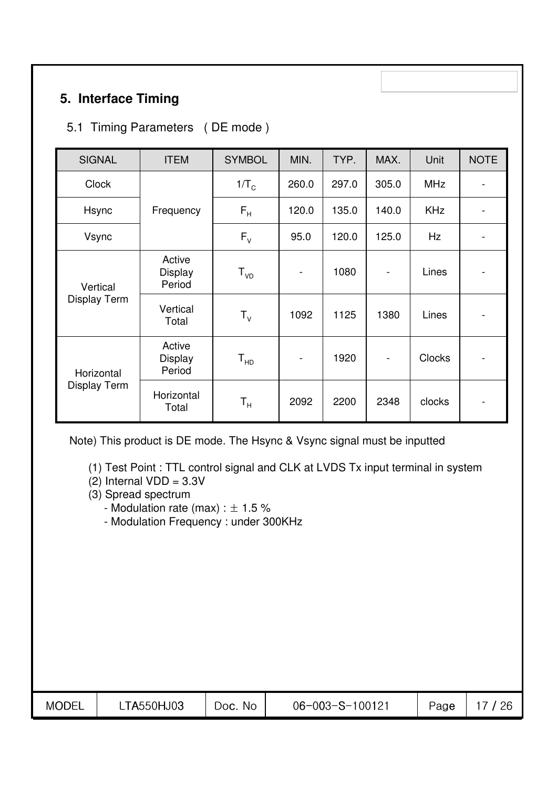## **5. Interface Timing**

## 5.1 Timing Parameters ( DE mode )

| <b>SIGNAL</b>       | <b>ITEM</b>                        | <b>SYMBOL</b>           | MIN.                         | TYP.  | MAX.                     | Unit          | <b>NOTE</b>                  |
|---------------------|------------------------------------|-------------------------|------------------------------|-------|--------------------------|---------------|------------------------------|
| <b>Clock</b>        |                                    | $1/T_c$                 | 260.0                        | 297.0 | 305.0                    | <b>MHz</b>    | $\overline{a}$               |
| Hsync               | Frequency                          | $F_H$                   | 120.0                        | 135.0 | 140.0                    | <b>KHz</b>    | $\qquad \qquad \blacksquare$ |
| Vsync               |                                    | $F_{V}$                 | 95.0                         | 120.0 | 125.0                    | Hz            | $\qquad \qquad \blacksquare$ |
| Vertical            | Active<br>Display<br>Period        | $T_{VD}$                | $\qquad \qquad \blacksquare$ | 1080  | $\overline{\phantom{a}}$ | Lines         | $\qquad \qquad \blacksquare$ |
| <b>Display Term</b> | Vertical<br>Total                  | $T_{V}$                 | 1092                         | 1125  | 1380                     | Lines         | $\qquad \qquad \blacksquare$ |
| Horizontal          | Active<br><b>Display</b><br>Period | ${\tt T_{HD}}$          | $\blacksquare$               | 1920  |                          | <b>Clocks</b> | $\qquad \qquad \blacksquare$ |
| Display Term        | Horizontal<br>Total                | $\mathsf{T}_\mathsf{H}$ | 2092                         | 2200  | 2348                     | clocks        | $\qquad \qquad \blacksquare$ |

Note) This product is DE mode. The Hsync & Vsync signal must be inputted

(1) Test Point : TTL control signal and CLK at LVDS Tx input terminal in system

- $(2)$  Internal VDD = 3.3V
- (3) Spread spectrum
	- Modulation rate (max) :  $\pm$  1.5 %
	- Modulation Frequency : under 300KHz

| <b>MODEL</b> | <b>TA550HJ03</b> | Νo<br>DOC. | $-100121$<br>$06 - 003 - S - 1$ | Page | ገር<br>ີ∟ |
|--------------|------------------|------------|---------------------------------|------|----------|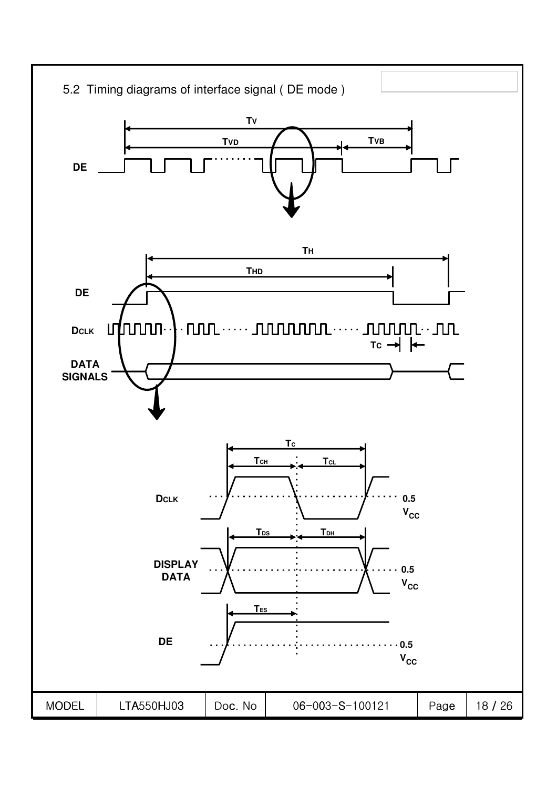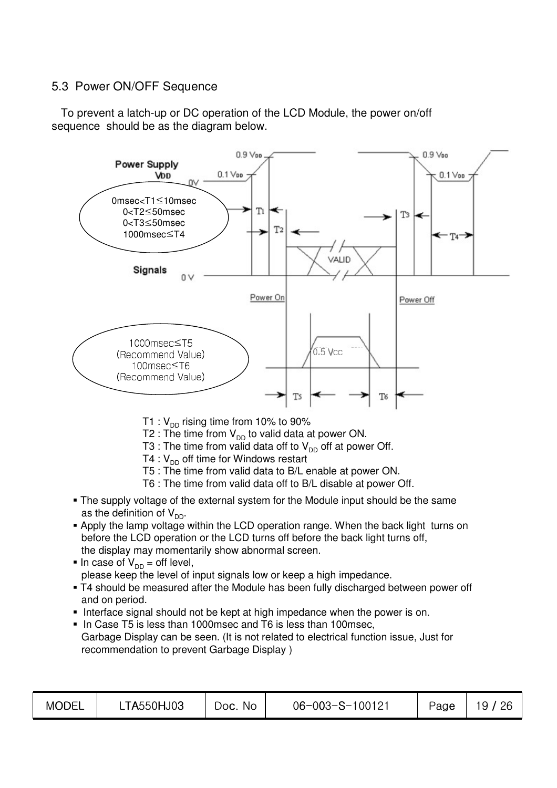### 5.3 Power ON/OFF Sequence

To prevent a latch-up or DC operation of the LCD Module, the power on/off sequence should be as the diagram below.



- T1 :  $V_{DD}$  rising time from 10% to 90%
- T2 : The time from  $V_{DD}$  to valid data at power ON.
- T3 : The time from valid data off to  $V_{\text{DD}}$  off at power Off.
- T4 :  $V_{DD}$  off time for Windows restart
- T5 : The time from valid data to B/L enable at power ON.
- T6 : The time from valid data off to B/L disable at power Off.
- . The supply voltage of the external system for the Module input should be the same as the definition of  $V_{DD}$ .
- Apply the lamp voltage within the LCD operation range. When the back light turns on before the LCD operation or the LCD turns off before the back light turns off, the display may momentarily show abnormal screen.
- In case of  $V_{DD}$  = off level, please keep the level of input signals low or keep a high impedance.
- T4 should be measured after the Module has been fully discharged between power off and on period.
- Interface signal should not be kept at high impedance when the power is on.
- In Case T5 is less than 1000msec and T6 is less than 100msec, Garbage Display can be seen. (It is not related to electrical function issue, Just for recommendation to prevent Garbage Display)

| <b>MODEL</b> | TA550HJ03 | <b>No</b><br>JOC. | 06-003-S-100121 | Page | 26<br>u |
|--------------|-----------|-------------------|-----------------|------|---------|
|              |           |                   |                 |      |         |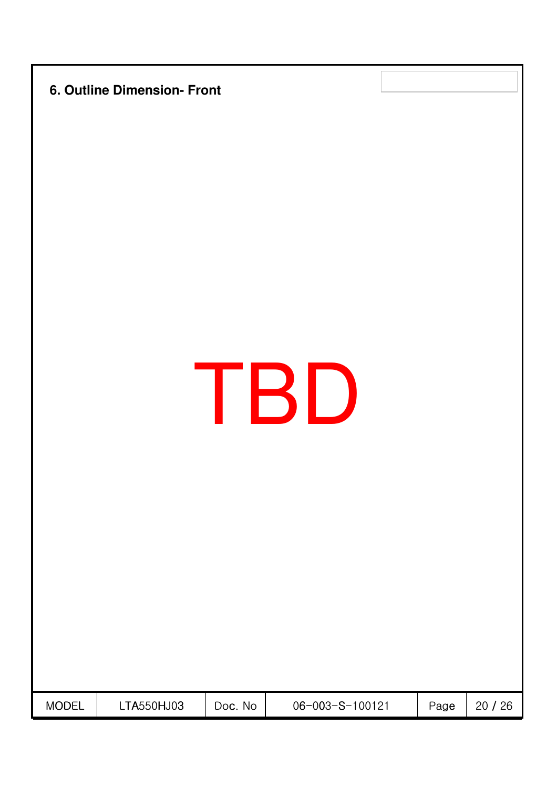|              | 6. Outline Dimension- Front |         |                 |      |         |
|--------------|-----------------------------|---------|-----------------|------|---------|
|              |                             |         | TBD             |      |         |
| <b>MODEL</b> | LTA550HJ03                  | Doc. No | 06-003-S-100121 | Page | 20 / 26 |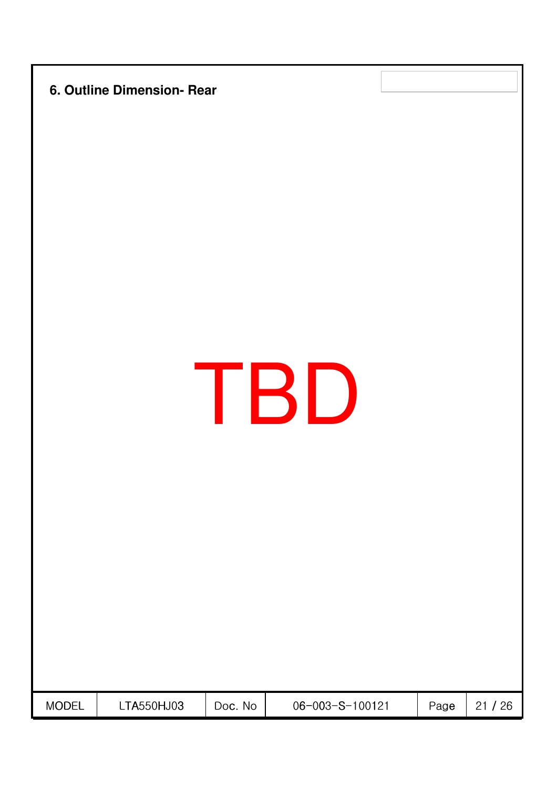|              | 6. Outline Dimension- Rear |         |                 |      |       |
|--------------|----------------------------|---------|-----------------|------|-------|
|              |                            |         | TBD             |      |       |
| <b>MODEL</b> | LTA550HJ03                 | Doc. No | 06-003-S-100121 | Page | 21/26 |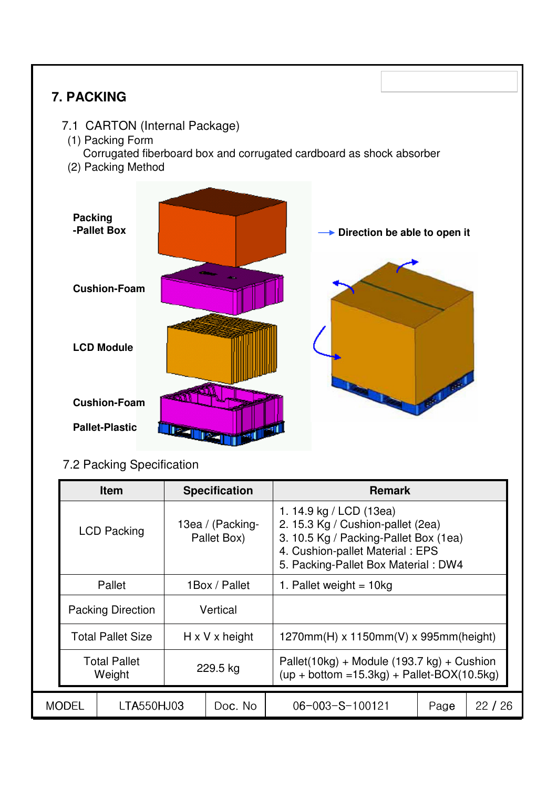# **7. PACKING** 7.1 CARTON (Internal Package) (1) Packing Form Corrugated fiberboard box and corrugated cardboard as shock absorber (2) Packing Method 1. 14.9 kg / LCD (13ea) Sg / Cushion-pallet (2ea) Sg / Packing-Pallet Box (1ea) 13ea / (Packing-**Item Specification Remark** 7.2 Packing Specification **Direction be able to open it Packing -Pallet Box Cushion-Foam LCD Module Cushion-Foam Pallet-Plastic**

MODEL | LTA550HJ03 | Doc. No | 06-003-S-100121 | Page | 22 / 26

Total Pallet  $V$  229.5 kg Pallet(10kg) + Module (193.7 kg) + Cushion<br>  $V$ weight  $V$ 

Total Pallet Size  $\parallel$  H x V x height  $\parallel$  1270mm(H) x 1150mm(V) x 995mm(height)

Pallet(10kg) + Module (193.7 kg) + Cushion

| <b>LCD Packing</b>       | 13ea / (Packing-<br>Pallet Box) | 2. 15.3 Kg / Cushion-pallet (2ea)<br>3. 10.5 Kg / Packing-Pallet Box (1ea)<br>4. Cushion-pallet Material: EPS<br>5. Packing-Pallet Box Material: DW4 |
|--------------------------|---------------------------------|------------------------------------------------------------------------------------------------------------------------------------------------------|
| Pallet                   | 1Box / Pallet                   | 1. Pallet weight = $10kg$                                                                                                                            |
| <b>Packing Direction</b> | Vertical                        |                                                                                                                                                      |

**Weight**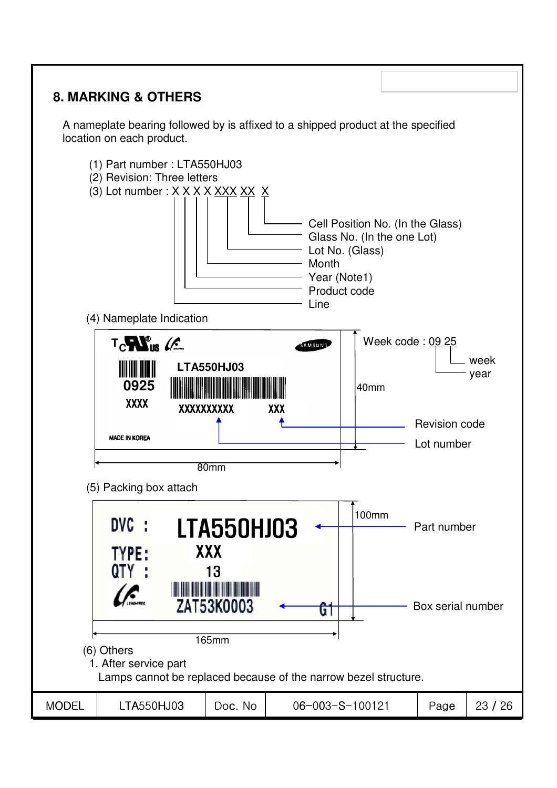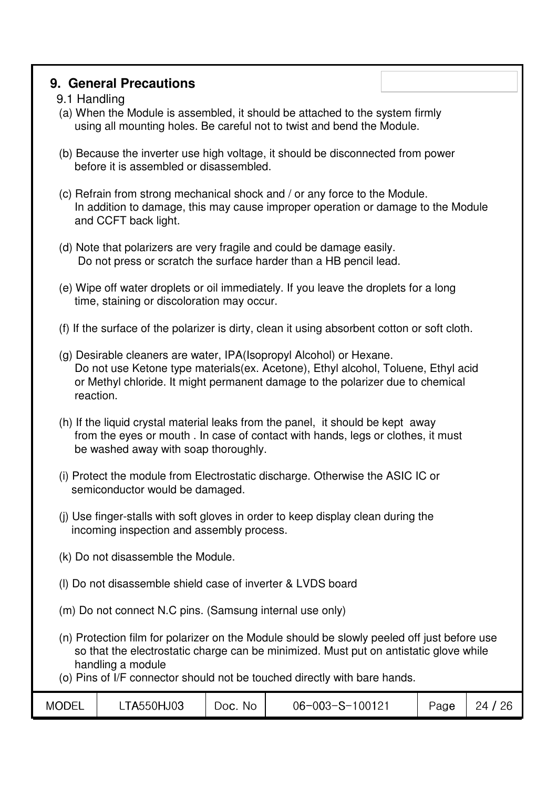### **9. General Precautions**

### 9.1 Handling

- (a) When the Module is assembled, it should be attached to the system firmly using all mounting holes. Be careful not to twist and bend the Module.
- (b) Because the inverter use high voltage, it should be disconnected from power before it is assembled or disassembled.
- (c) Refrain from strong mechanical shock and / or any force to the Module. In addition to damage, this may cause improper operation or damage to the Module and CCFT back light.
- (d) Note that polarizers are very fragile and could be damage easily. Do not press or scratch the surface harder than a HB pencil lead.
- (e) Wipe off water droplets or oil immediately. If you leave the droplets for a long time, staining or discoloration may occur.
- (f) If the surface of the polarizer is dirty, clean it using absorbent cotton or soft cloth.
- (g) Desirable cleaners are water, IPA(Isopropyl Alcohol) or Hexane. Do not use Ketone type materials(ex. Acetone), Ethyl alcohol, Toluene, Ethyl acid or Methyl chloride. It might permanent damage to the polarizer due to chemical reaction.
- (h) If the liquid crystal material leaks from the panel, it should be kept away from the eyes or mouth . In case of contact with hands, legs or clothes, it must be washed away with soap thoroughly.
- (i) Protect the module from Electrostatic discharge. Otherwise the ASIC IC or semiconductor would be damaged.
- (j) Use finger-stalls with soft gloves in order to keep display clean during the incoming inspection and assembly process.
- (k) Do not disassemble the Module.
- (l) Do not disassemble shield case of inverter & LVDS board
- (m) Do not connect N.C pins. (Samsung internal use only)
- (n) Protection film for polarizer on the Module should be slowly peeled off just before use so that the electrostatic charge can be minimized. Must put on antistatic glove while handling a module
- (o) Pins of I/F connector should not be touched directly with bare hands.

| MODEL | <b>TA550HJ03</b> | No<br>DOC. | $06 - 003 - S - 100121$ | Page | 26<br>ΣΔ |
|-------|------------------|------------|-------------------------|------|----------|
|-------|------------------|------------|-------------------------|------|----------|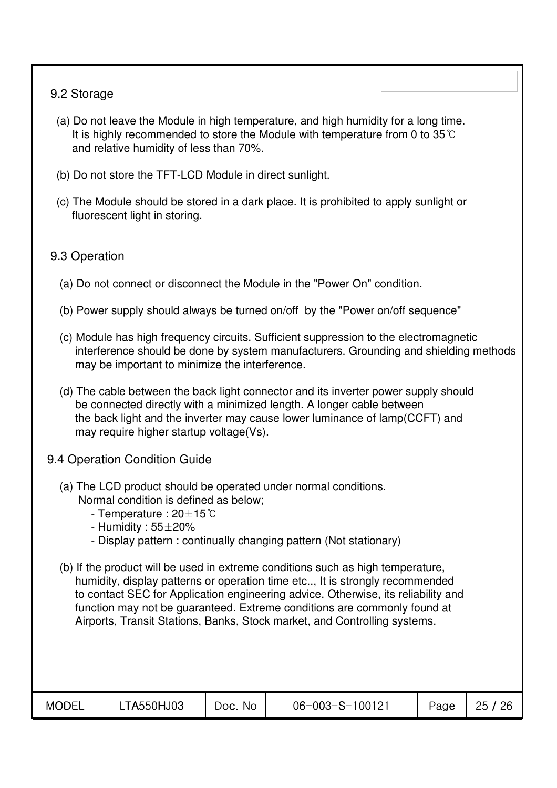### 9.2 Storage

- (a) Do not leave the Module in high temperature, and high humidity for a long time. It is highly recommended to store the Module with temperature from 0 to 35 $\degree$ C and relative humidity of less than 70%.
- (b) Do not store the TFT-LCD Module in direct sunlight.
- (c) The Module should be stored in a dark place. It is prohibited to apply sunlight or fluorescent light in storing.

### 9.3 Operation

- (a) Do not connect or disconnect the Module in the "Power On" condition.
- (b) Power supply should always be turned on/off by the "Power on/off sequence"
- (c) Module has high frequency circuits. Sufficient suppression to the electromagnetic interference should be done by system manufacturers. Grounding and shielding methods may be important to minimize the interference.
- (d) The cable between the back light connector and its inverter power supply should be connected directly with a minimized length. A longer cable between the back light and the inverter may cause lower luminance of lamp(CCFT) and may require higher startup voltage(Vs).
- 9.4 Operation Condition Guide
	- (a) The LCD product should be operated under normal conditions. Normal condition is defined as below;
		- Temperature :  $20 \pm 15^{\circ}$ C
		- Humidity :  $55\pm20\%$
		- Display pattern : continually changing pattern (Not stationary)
	- (b) If the product will be used in extreme conditions such as high temperature, humidity, display patterns or operation time etc.., It is strongly recommended to contact SEC for Application engineering advice. Otherwise, its reliability and function may not be guaranteed. Extreme conditions are commonly found at Airports, Transit Stations, Banks, Stock market, and Controlling systems.

| <b>MODEL</b> | LTA550HJ03 | No.<br>Doc. | 06-003-S-100121 | Page | 26<br>ク斥 |
|--------------|------------|-------------|-----------------|------|----------|
|              |            |             |                 |      |          |